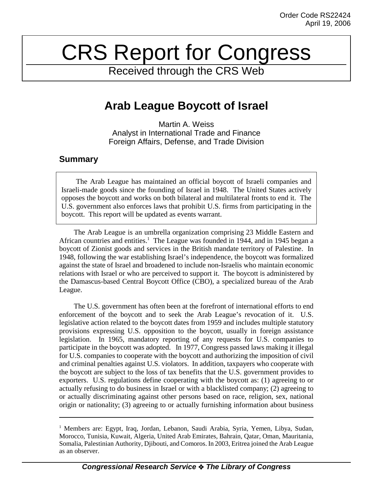# CRS Report for Congress

Received through the CRS Web

# **Arab League Boycott of Israel**

Martin A. Weiss Analyst in International Trade and Finance Foreign Affairs, Defense, and Trade Division

## **Summary**

The Arab League has maintained an official boycott of Israeli companies and Israeli-made goods since the founding of Israel in 1948. The United States actively opposes the boycott and works on both bilateral and multilateral fronts to end it. The U.S. government also enforces laws that prohibit U.S. firms from participating in the boycott. This report will be updated as events warrant.

The Arab League is an umbrella organization comprising 23 Middle Eastern and African countries and entities.<sup>1</sup> The League was founded in 1944, and in 1945 began a boycott of Zionist goods and services in the British mandate territory of Palestine. In 1948, following the war establishing Israel's independence, the boycott was formalized against the state of Israel and broadened to include non-Israelis who maintain economic relations with Israel or who are perceived to support it. The boycott is administered by the Damascus-based Central Boycott Office (CBO), a specialized bureau of the Arab League.

The U.S. government has often been at the forefront of international efforts to end enforcement of the boycott and to seek the Arab League's revocation of it. U.S. legislative action related to the boycott dates from 1959 and includes multiple statutory provisions expressing U.S. opposition to the boycott, usually in foreign assistance legislation. In 1965, mandatory reporting of any requests for U.S. companies to participate in the boycott was adopted. In 1977, Congress passed laws making it illegal for U.S. companies to cooperate with the boycott and authorizing the imposition of civil and criminal penalties against U.S. violators. In addition, taxpayers who cooperate with the boycott are subject to the loss of tax benefits that the U.S. government provides to exporters. U.S. regulations define cooperating with the boycott as: (1) agreeing to or actually refusing to do business in Israel or with a blacklisted company; (2) agreeing to or actually discriminating against other persons based on race, religion, sex, national origin or nationality; (3) agreeing to or actually furnishing information about business

<sup>&</sup>lt;sup>1</sup> Members are: Egypt, Iraq, Jordan, Lebanon, Saudi Arabia, Syria, Yemen, Libya, Sudan, Morocco, Tunisia, Kuwait, Algeria, United Arab Emirates, Bahrain, Qatar, Oman, Mauritania, Somalia, Palestinian Authority, Djibouti, and Comoros. In 2003, Eritrea joined the Arab League as an observer.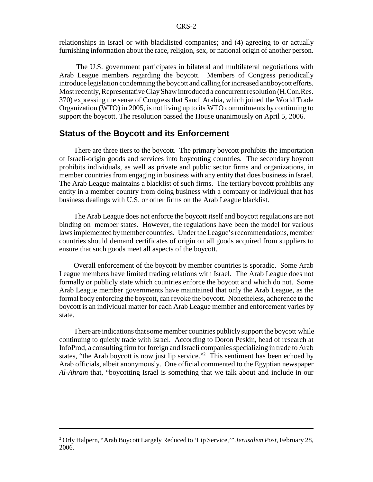relationships in Israel or with blacklisted companies; and (4) agreeing to or actually furnishing information about the race, religion, sex, or national origin of another person.

 The U.S. government participates in bilateral and multilateral negotiations with Arab League members regarding the boycott. Members of Congress periodically introduce legislation condemning the boycott and calling for increased antiboycott efforts. Most recently, Representative Clay Shaw introduced a concurrent resolution (H.Con.Res. 370) expressing the sense of Congress that Saudi Arabia, which joined the World Trade Organization (WTO) in 2005, is not living up to its WTO commitments by continuing to support the boycott. The resolution passed the House unanimously on April 5, 2006.

#### **Status of the Boycott and its Enforcement**

There are three tiers to the boycott. The primary boycott prohibits the importation of Israeli-origin goods and services into boycotting countries. The secondary boycott prohibits individuals, as well as private and public sector firms and organizations, in member countries from engaging in business with any entity that does business in Israel. The Arab League maintains a blacklist of such firms. The tertiary boycott prohibits any entity in a member country from doing business with a company or individual that has business dealings with U.S. or other firms on the Arab League blacklist.

The Arab League does not enforce the boycott itself and boycott regulations are not binding on member states. However, the regulations have been the model for various laws implemented by member countries. Under the League's recommendations, member countries should demand certificates of origin on all goods acquired from suppliers to ensure that such goods meet all aspects of the boycott.

Overall enforcement of the boycott by member countries is sporadic. Some Arab League members have limited trading relations with Israel. The Arab League does not formally or publicly state which countries enforce the boycott and which do not. Some Arab League member governments have maintained that only the Arab League, as the formal body enforcing the boycott, can revoke the boycott. Nonetheless, adherence to the boycott is an individual matter for each Arab League member and enforcement varies by state.

 There are indications that some member countries publicly support the boycott while continuing to quietly trade with Israel. According to Doron Peskin, head of research at InfoProd, a consulting firm for foreign and Israeli companies specializing in trade to Arab states, "the Arab boycott is now just lip service."<sup>2</sup> This sentiment has been echoed by Arab officials, albeit anonymously. One official commented to the Egyptian newspaper *Al-Ahram* that, "boycotting Israel is something that we talk about and include in our

<sup>2</sup> Orly Halpern, "Arab Boycott Largely Reduced to 'Lip Service,'" *Jerusalem Post*, February 28, 2006.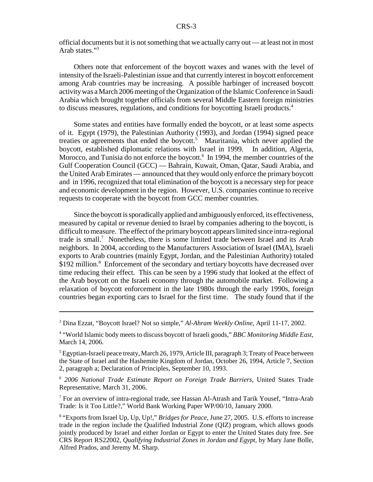official documents but it is not something that we actually carry out — at least not in most Arab states."3

Others note that enforcement of the boycott waxes and wanes with the level of intensity of the Israeli-Palestinian issue and that currently interest in boycott enforcement among Arab countries may be increasing. A possible harbinger of increased boycott activity was a March 2006 meeting of the Organization of the Islamic Conference in Saudi Arabia which brought together officials from several Middle Eastern foreign ministries to discuss measures, regulations, and conditions for boycotting Israeli products.4

Some states and entities have formally ended the boycott, or at least some aspects of it. Egypt (1979), the Palestinian Authority (1993), and Jordan (1994) signed peace treaties or agreements that ended the boycott.<sup>5</sup> Mauritania, which never applied the boycott, established diplomatic relations with Israel in 1999. In addition, Algeria, Morocco, and Tunisia do not enforce the boycott.<sup>6</sup> In 1994, the member countries of the Gulf Cooperation Council (GCC) — Bahrain, Kuwait, Oman, Qatar, Saudi Arabia, and the United Arab Emirates — announced that they would only enforce the primary boycott and in 1996, recognized that total elimination of the boycott is a necessary step for peace and economic development in the region. However, U.S. companies continue to receive requests to cooperate with the boycott from GCC member countries.

Since the boycott is sporadically applied and ambiguously enforced, its effectiveness, measured by capital or revenue denied to Israel by companies adhering to the boycott, is difficult to measure. The effect of the primary boycott appears limited since intra-regional trade is small.<sup>7</sup> Nonetheless, there is some limited trade between Israel and its Arab neighbors. In 2004, according to the Manufacturers Association of Israel (IMA), Israeli exports to Arab countries (mainly Egypt, Jordan, and the Palestinian Authority) totaled \$192 million.<sup>8</sup> Enforcement of the secondary and tertiary boycotts have decreased over time reducing their effect. This can be seen by a 1996 study that looked at the effect of the Arab boycott on the Israeli economy through the automobile market. Following a relaxation of boycott enforcement in the late 1980s through the early 1990s, foreign countries began exporting cars to Israel for the first time. The study found that if the

<sup>7</sup> For an overview of intra-regional trade, see Hassan Al-Atrash and Tarik Yousef, "Intra-Arab Trade: Is it Too Little?," World Bank Working Paper WP/00/10, January 2000.

<sup>3</sup> Dina Ezzat, "Boycott Israel? Not so simple," *Al-Ahram Weekly Online*, April 11-17, 2002.

<sup>4</sup> "World Islamic body meets to discuss boycott of Israeli goods," *BBC Monitoring Middle East,* March 14, 2006.

 $^5$  Egyptian-Israeli peace treaty, March 26, 1979, Article III, paragraph 3; Treaty of Peace between the State of Israel and the Hashemite Kingdom of Jordan, October 26, 1994, Article 7, Section 2, paragraph a; Declaration of Principles, September 10, 1993.

<sup>6</sup> *2006 National Trade Estimate Report on Foreign Trade Barriers,* United States Trade Representative, March 31, 2006.

<sup>&</sup>lt;sup>8</sup> "Exports from Israel Up, Up, Up!," *Bridges for Peace*, June 27, 2005. U.S. efforts to increase trade in the region include the Qualified Industrial Zone (QIZ) program, which allows goods jointly produced by Israel and either Jordan or Egypt to enter the United States duty free. See CRS Report RS22002, *Qualifying Industrial Zones in Jordan and Egypt*, by Mary Jane Bolle, Alfred Prados, and Jeremy M. Sharp.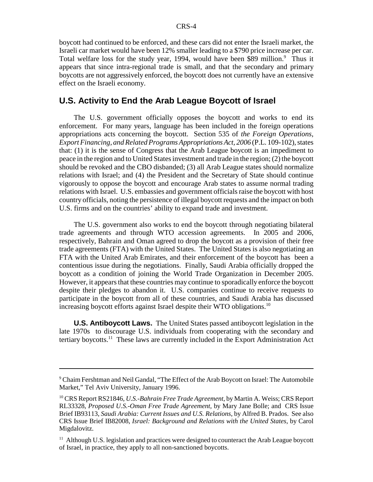boycott had continued to be enforced, and these cars did not enter the Israeli market, the Israeli car market would have been 12% smaller leading to a \$790 price increase per car. Total welfare loss for the study year, 1994, would have been \$89 million.<sup>9</sup> Thus it appears that since intra-regional trade is small, and that the secondary and primary boycotts are not aggressively enforced, the boycott does not currently have an extensive effect on the Israeli economy.

### **U.S. Activity to End the Arab League Boycott of Israel**

The U.S. government officially opposes the boycott and works to end its enforcement. For many years, language has been included in the foreign operations appropriations acts concerning the boycott. Section 535 of *the Foreign Operations, Export Financing, and Related Programs Appropriations Act, 2006* (P.L. 109-102), states that: (1) it is the sense of Congress that the Arab League boycott is an impediment to peace in the region and to United States investment and trade in the region; (2) the boycott should be revoked and the CBO disbanded; (3) all Arab League states should normalize relations with Israel; and (4) the President and the Secretary of State should continue vigorously to oppose the boycott and encourage Arab states to assume normal trading relations with Israel. U.S. embassies and government officials raise the boycott with host country officials, noting the persistence of illegal boycott requests and the impact on both U.S. firms and on the countries' ability to expand trade and investment.

The U.S. government also works to end the boycott through negotiating bilateral trade agreements and through WTO accession agreements. In 2005 and 2006, respectively, Bahrain and Oman agreed to drop the boycott as a provision of their free trade agreements (FTA) with the United States. The United States is also negotiating an FTA with the United Arab Emirates, and their enforcement of the boycott has been a contentious issue during the negotiations. Finally, Saudi Arabia officially dropped the boycott as a condition of joining the World Trade Organization in December 2005. However, it appears that these countries may continue to sporadically enforce the boycott despite their pledges to abandon it. U.S. companies continue to receive requests to participate in the boycott from all of these countries, and Saudi Arabia has discussed increasing boycott efforts against Israel despite their WTO obligations.<sup>10</sup>

**U.S. Antiboycott Laws.** The United States passed antiboycott legislation in the late 1970s to discourage U.S. individuals from cooperating with the secondary and tertiary boycotts.<sup>11</sup> These laws are currently included in the Export Administration Act

<sup>&</sup>lt;sup>9</sup> Chaim Fershtman and Neil Gandal, "The Effect of the Arab Boycott on Israel: The Automobile Market," Tel Aviv University, January 1996.

<sup>10</sup> CRS Report RS21846, *U.S.-Bahrain Free Trade Agreement*, by Martin A. Weiss; CRS Report RL33328, *Proposed U.S.-Oman Free Trade Agreement*, by Mary Jane Bolle; and CRS Issue Brief IB93113, *Saudi Arabia: Current Issues and U.S. Relations*, by Alfred B. Prados. See also CRS Issue Brief IB82008, *Israel: Background and Relations with the United States*, by Carol Migdalovitz.

 $11$  Although U.S. legislation and practices were designed to counteract the Arab League boycott of Israel, in practice, they apply to all non-sanctioned boycotts.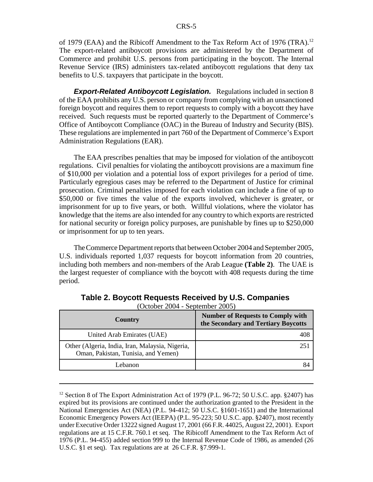of 1979 (EAA) and the Ribicoff Amendment to the Tax Reform Act of 1976 (TRA).<sup>12</sup> The export-related antiboycott provisions are administered by the Department of Commerce and prohibit U.S. persons from participating in the boycott. The Internal Revenue Service (IRS) administers tax-related antiboycott regulations that deny tax benefits to U.S. taxpayers that participate in the boycott.

**Export-Related Antiboycott Legislation.** Regulations included in section 8 of the EAA prohibits any U.S. person or company from complying with an unsanctioned foreign boycott and requires them to report requests to comply with a boycott they have received. Such requests must be reported quarterly to the Department of Commerce's Office of Antiboycott Compliance (OAC) in the Bureau of Industry and Security (BIS). These regulations are implemented in part 760 of the Department of Commerce's Export Administration Regulations (EAR).

The EAA prescribes penalties that may be imposed for violation of the antiboycott regulations. Civil penalties for violating the antiboycott provisions are a maximum fine of \$10,000 per violation and a potential loss of export privileges for a period of time. Particularly egregious cases may be referred to the Department of Justice for criminal prosecution. Criminal penalties imposed for each violation can include a fine of up to \$50,000 or five times the value of the exports involved, whichever is greater, or imprisonment for up to five years, or both. Willful violations, where the violator has knowledge that the items are also intended for any country to which exports are restricted for national security or foreign policy purposes, are punishable by fines up to \$250,000 or imprisonment for up to ten years.

The Commerce Department reports that between October 2004 and September 2005, U.S. individuals reported 1,037 requests for boycott information from 20 countries, including both members and non-members of the Arab League **(Table 2)**. The UAE is the largest requester of compliance with the boycott with 408 requests during the time period.

| <b>Country</b>                                                                         | <b>Number of Requests to Comply with</b><br>the Secondary and Tertiary Boycotts |
|----------------------------------------------------------------------------------------|---------------------------------------------------------------------------------|
| United Arab Emirates (UAE)                                                             | 408                                                                             |
| Other (Algeria, India, Iran, Malaysia, Nigeria,<br>Oman, Pakistan, Tunisia, and Yemen) | 251                                                                             |
| Lebanon                                                                                | 84                                                                              |

**Table 2. Boycott Requests Received by U.S. Companies** 

(October 2004 - September 2005)

<sup>&</sup>lt;sup>12</sup> Section 8 of The Export Administration Act of 1979 (P.L. 96-72; 50 U.S.C. app.  $§2407$ ) has expired but its provisions are continued under the authorization granted to the President in the National Emergencies Act (NEA) (P.L. 94-412; 50 U.S.C. §1601-1651) and the International Economic Emergency Powers Act (IEEPA) (P.L. 95-223; 50 U.S.C. app. §2407), most recently under Executive Order 13222 signed August 17, 2001 (66 F.R. 44025, August 22, 2001). Export regulations are at 15 C.F.R. 760.1 et seq. The Ribicoff Amendment to the Tax Reform Act of 1976 (P.L. 94-455) added section 999 to the Internal Revenue Code of 1986, as amended (26 U.S.C. §1 et seq). Tax regulations are at 26 C.F.R. §7.999-1.